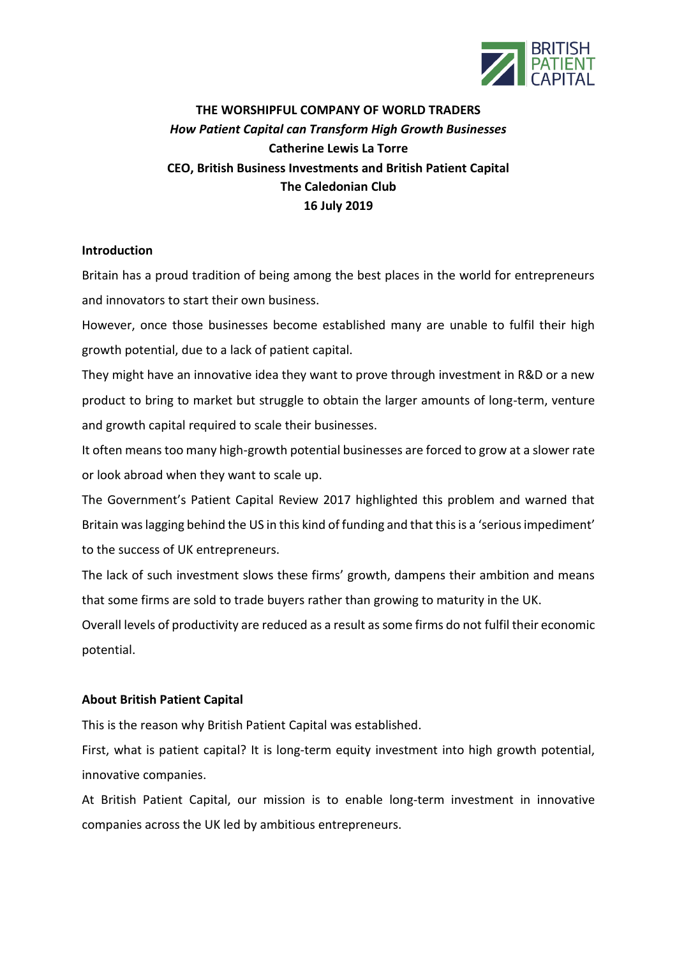

# **THE WORSHIPFUL COMPANY OF WORLD TRADERS** *How Patient Capital can Transform High Growth Businesses* **Catherine Lewis La Torre CEO, British Business Investments and British Patient Capital The Caledonian Club 16 July 2019**

# **Introduction**

Britain has a proud tradition of being among the best places in the world for entrepreneurs and innovators to start their own business.

However, once those businesses become established many are unable to fulfil their high growth potential, due to a lack of patient capital.

They might have an innovative idea they want to prove through investment in R&D or a new product to bring to market but struggle to obtain the larger amounts of long-term, venture and growth capital required to scale their businesses.

It often means too many high-growth potential businesses are forced to grow at a slower rate or look abroad when they want to scale up.

The Government's Patient Capital Review 2017 highlighted this problem and warned that Britain was lagging behind the US in this kind of funding and that this is a 'serious impediment' to the success of UK entrepreneurs.

The lack of such investment slows these firms' growth, dampens their ambition and means that some firms are sold to trade buyers rather than growing to maturity in the UK.

Overall levels of productivity are reduced as a result as some firms do not fulfil their economic potential.

# **About British Patient Capital**

This is the reason why British Patient Capital was established.

First, what is patient capital? It is long-term equity investment into high growth potential, innovative companies.

At British Patient Capital, our mission is to enable long-term investment in innovative companies across the UK led by ambitious entrepreneurs.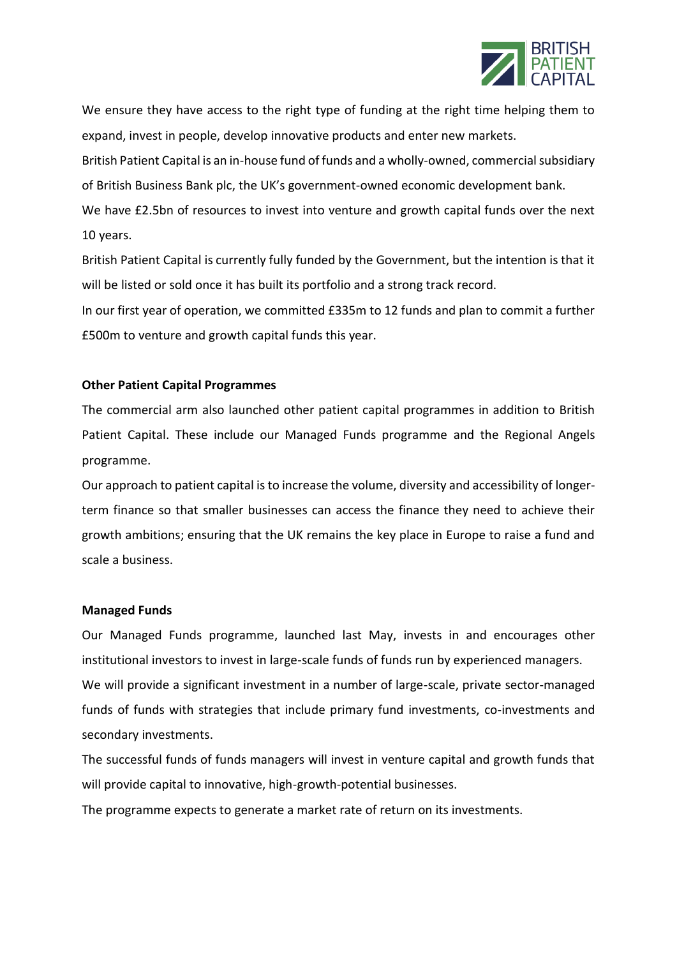

We ensure they have access to the right type of funding at the right time helping them to expand, invest in people, develop innovative products and enter new markets.

British Patient Capital is an in-house fund of funds and a wholly-owned, commercial subsidiary of British Business Bank plc, the UK's government-owned economic development bank. We have £2.5bn of resources to invest into venture and growth capital funds over the next 10 years.

British Patient Capital is currently fully funded by the Government, but the intention is that it will be listed or sold once it has built its portfolio and a strong track record.

In our first year of operation, we committed £335m to 12 funds and plan to commit a further £500m to venture and growth capital funds this year.

## **Other Patient Capital Programmes**

The commercial arm also launched other patient capital programmes in addition to British Patient Capital. These include our Managed Funds programme and the Regional Angels programme.

Our approach to patient capital is to increase the volume, diversity and accessibility of longerterm finance so that smaller businesses can access the finance they need to achieve their growth ambitions; ensuring that the UK remains the key place in Europe to raise a fund and scale a business.

## **Managed Funds**

Our Managed Funds programme, launched last May, invests in and encourages other institutional investors to invest in large-scale funds of funds run by experienced managers. We will provide a significant investment in a number of large-scale, private sector-managed funds of funds with strategies that include primary fund investments, co-investments and secondary investments.

The successful funds of funds managers will invest in venture capital and growth funds that will provide capital to innovative, high-growth-potential businesses.

The programme expects to generate a market rate of return on its investments.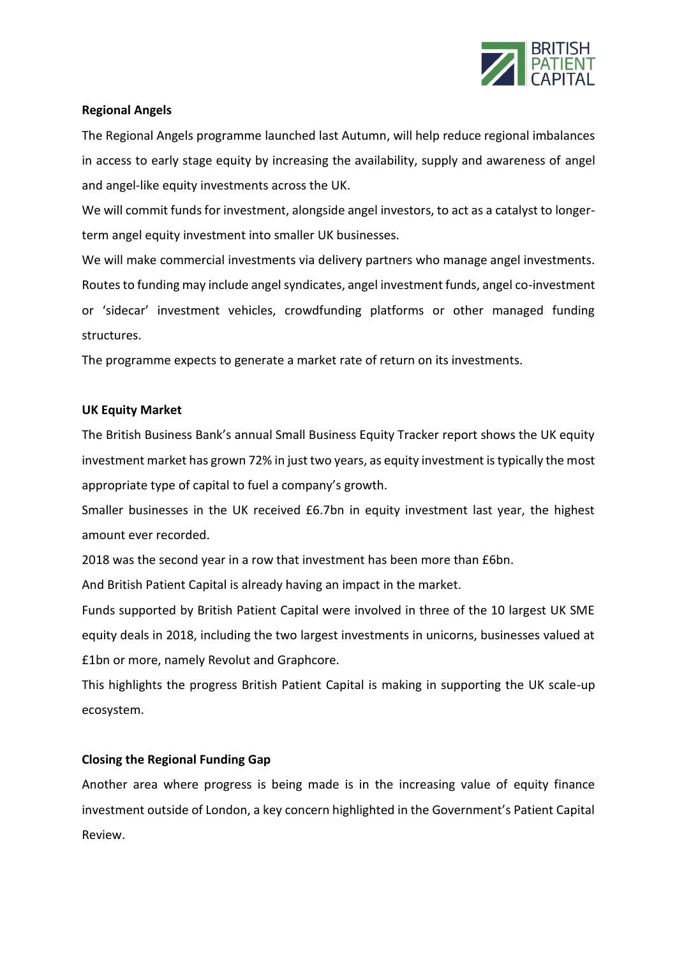

# **Regional Angels**

The Regional Angels programme launched last Autumn, will help reduce regional imbalances in access to early stage equity by increasing the availability, supply and awareness of angel and angel-like equity investments across the UK.

We will commit funds for investment, alongside angel investors, to act as a catalyst to longerterm angel equity investment into smaller UK businesses.

We will make commercial investments via delivery partners who manage angel investments. Routes to funding may include angel syndicates, angel investment funds, angel co-investment or 'sidecar' investment vehicles, crowdfunding platforms or other managed funding structures.

The programme expects to generate a market rate of return on its investments.

## **UK Equity Market**

The British Business Bank's annual Small Business Equity Tracker report shows the UK equity investment market has grown 72% in just two years, as equity investment is typically the most appropriate type of capital to fuel a company's growth.

Smaller businesses in the UK received £6.7bn in equity investment last year, the highest amount ever recorded.

2018 was the second year in a row that investment has been more than £6bn.

And British Patient Capital is already having an impact in the market.

Funds supported by British Patient Capital were involved in three of the 10 largest UK SME equity deals in 2018, including the two largest investments in unicorns, businesses valued at £1bn or more, namely Revolut and Graphcore.

This highlights the progress British Patient Capital is making in supporting the UK scale-up ecosystem.

# **Closing the Regional Funding Gap**

Another area where progress is being made is in the increasing value of equity finance investment outside of London, a key concern highlighted in the Government's Patient Capital Review.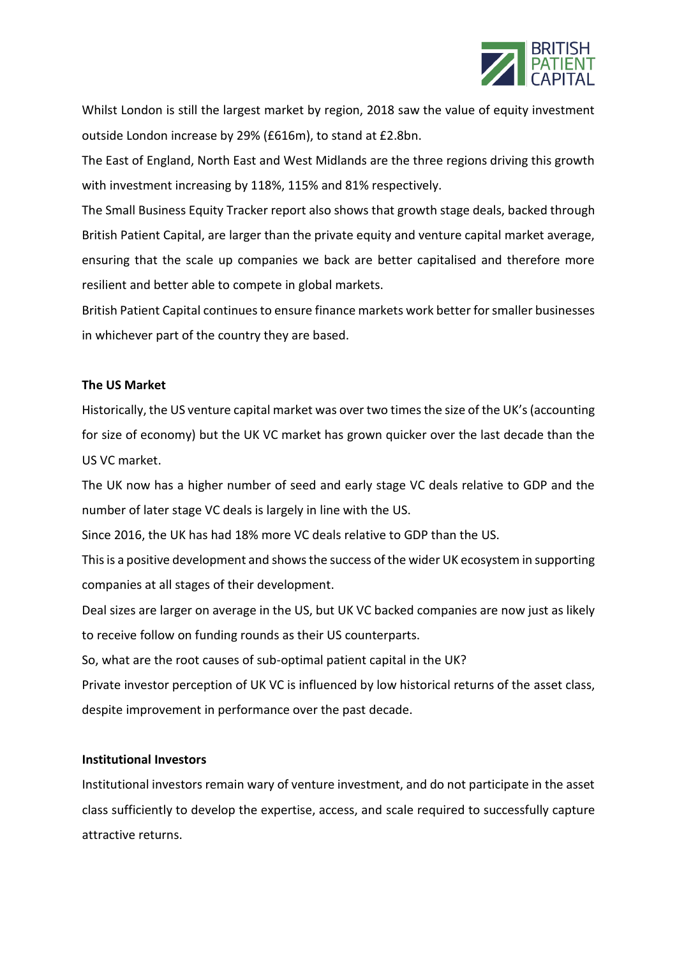

Whilst London is still the largest market by region, 2018 saw the value of equity investment outside London increase by 29% (£616m), to stand at £2.8bn.

The East of England, North East and West Midlands are the three regions driving this growth with investment increasing by 118%, 115% and 81% respectively.

The Small Business Equity Tracker report also shows that growth stage deals, backed through British Patient Capital, are larger than the private equity and venture capital market average, ensuring that the scale up companies we back are better capitalised and therefore more resilient and better able to compete in global markets.

British Patient Capital continues to ensure finance markets work better for smaller businesses in whichever part of the country they are based.

## **The US Market**

Historically, the US venture capital market was over two times the size of the UK's (accounting for size of economy) but the UK VC market has grown quicker over the last decade than the US VC market.

The UK now has a higher number of seed and early stage VC deals relative to GDP and the number of later stage VC deals is largely in line with the US.

Since 2016, the UK has had 18% more VC deals relative to GDP than the US.

This is a positive development and shows the success of the wider UK ecosystem in supporting companies at all stages of their development.

Deal sizes are larger on average in the US, but UK VC backed companies are now just as likely to receive follow on funding rounds as their US counterparts.

So, what are the root causes of sub-optimal patient capital in the UK?

Private investor perception of UK VC is influenced by low historical returns of the asset class, despite improvement in performance over the past decade.

## **Institutional Investors**

Institutional investors remain wary of venture investment, and do not participate in the asset class sufficiently to develop the expertise, access, and scale required to successfully capture attractive returns.